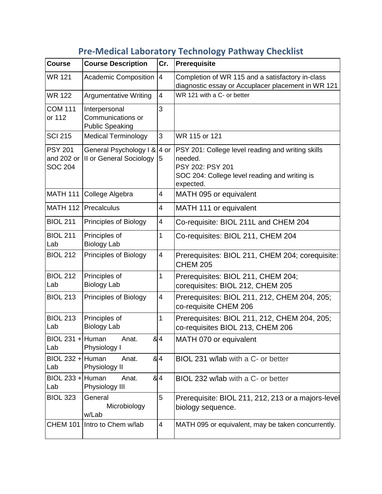| <b>Course</b>                                  | <b>Course Description</b>                                    | Cr.                      | Prerequisite                                                                                                                                   |
|------------------------------------------------|--------------------------------------------------------------|--------------------------|------------------------------------------------------------------------------------------------------------------------------------------------|
| <b>WR 121</b>                                  | Academic Composition                                         | $\overline{4}$           | Completion of WR 115 and a satisfactory in-class<br>diagnostic essay or Accuplacer placement in WR 121                                         |
| <b>WR 122</b>                                  | <b>Argumentative Writing</b>                                 | 4                        | WR 121 with a C- or better                                                                                                                     |
| <b>COM 111</b><br>or 112                       | Interpersonal<br>Communications or<br><b>Public Speaking</b> | 3                        |                                                                                                                                                |
| <b>SCI 215</b>                                 | <b>Medical Terminology</b>                                   | 3                        | WR 115 or 121                                                                                                                                  |
| <b>PSY 201</b><br>and 202 or<br><b>SOC 204</b> | General Psychology I &<br>II or General Sociology            | 4 or<br>5                | PSY 201: College level reading and writing skills<br>needed.<br>PSY 202: PSY 201<br>SOC 204: College level reading and writing is<br>expected. |
| <b>MATH 111</b>                                | College Algebra                                              | 4                        | MATH 095 or equivalent                                                                                                                         |
|                                                | MATH 112   Precalculus                                       | 4                        | MATH 111 or equivalent                                                                                                                         |
| <b>BIOL 211</b>                                | <b>Principles of Biology</b>                                 | $\overline{\mathcal{A}}$ | Co-requisite: BIOL 211L and CHEM 204                                                                                                           |
| <b>BIOL 211</b><br>Lab                         | Principles of<br><b>Biology Lab</b>                          | 1                        | Co-requisites: BIOL 211, CHEM 204                                                                                                              |
| <b>BIOL 212</b>                                | <b>Principles of Biology</b>                                 | 4                        | Prerequisites: BIOL 211, CHEM 204; corequisite:<br><b>CHEM 205</b>                                                                             |
| <b>BIOL 212</b><br>Lab                         | Principles of<br><b>Biology Lab</b>                          | 1                        | Prerequisites: BIOL 211, CHEM 204;<br>corequisites: BIOL 212, CHEM 205                                                                         |
| <b>BIOL 213</b>                                | Principles of Biology                                        | 4                        | Prerequisites: BIOL 211, 212, CHEM 204, 205;<br>co-requisite CHEM 206                                                                          |
| <b>BIOL 213</b><br>Lab                         | Principles of<br><b>Biology Lab</b>                          | 1                        | Prerequisites: BIOL 211, 212, CHEM 204, 205;<br>co-requisites BIOL 213, CHEM 206                                                               |
| BIOL 231 + Human<br>Lab                        | Anat.<br>Physiology I                                        | & 4                      | MATH 070 or equivalent                                                                                                                         |
| BIOL 232 + Human<br>Lab                        | Anat.<br>Physiology II                                       | 84                       | BIOL 231 w/lab with a C- or better                                                                                                             |
| BIOL 233 + Human<br>Lab                        | Anat.<br>Physiology III                                      | & 4                      | BIOL 232 w/lab with a C- or better                                                                                                             |
| <b>BIOL 323</b>                                | General<br>Microbiology<br>w/Lab                             | 5                        | Prerequisite: BIOL 211, 212, 213 or a majors-level<br>biology sequence.                                                                        |
| <b>CHEM 101</b>                                | Intro to Chem w/lab                                          | $\overline{\mathbf{4}}$  | MATH 095 or equivalent, may be taken concurrently.                                                                                             |

## **Pre-Medical Laboratory Technology Pathway Checklist**